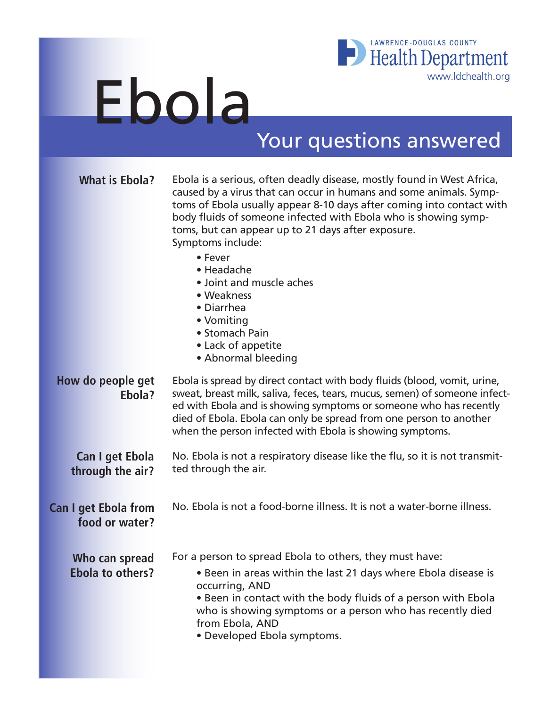

## Ebola

## Your questions answered

| <b>What is Ebola?</b>                         | Ebola is a serious, often deadly disease, mostly found in West Africa,<br>caused by a virus that can occur in humans and some animals. Symp-<br>toms of Ebola usually appear 8-10 days after coming into contact with<br>body fluids of someone infected with Ebola who is showing symp-<br>toms, but can appear up to 21 days after exposure.<br>Symptoms include:<br>• Fever<br>• Headache<br>• Joint and muscle aches<br>• Weakness<br>• Diarrhea<br>• Vomiting<br>• Stomach Pain<br>• Lack of appetite<br>• Abnormal bleeding |  |
|-----------------------------------------------|-----------------------------------------------------------------------------------------------------------------------------------------------------------------------------------------------------------------------------------------------------------------------------------------------------------------------------------------------------------------------------------------------------------------------------------------------------------------------------------------------------------------------------------|--|
| How do people get<br>Ebola?                   | Ebola is spread by direct contact with body fluids (blood, vomit, urine,<br>sweat, breast milk, saliva, feces, tears, mucus, semen) of someone infect-<br>ed with Ebola and is showing symptoms or someone who has recently<br>died of Ebola. Ebola can only be spread from one person to another<br>when the person infected with Ebola is showing symptoms.                                                                                                                                                                     |  |
| <b>Can I get Ebola</b><br>through the air?    | No. Ebola is not a respiratory disease like the flu, so it is not transmit-<br>ted through the air.                                                                                                                                                                                                                                                                                                                                                                                                                               |  |
| <b>Can I get Ebola from</b><br>food or water? | No. Ebola is not a food-borne illness. It is not a water-borne illness.                                                                                                                                                                                                                                                                                                                                                                                                                                                           |  |
| Who can spread<br><b>Ebola to others?</b>     | For a person to spread Ebola to others, they must have:<br>• Been in areas within the last 21 days where Ebola disease is<br>occurring, AND<br>. Been in contact with the body fluids of a person with Ebola<br>who is showing symptoms or a person who has recently died<br>from Ebola, AND<br>• Developed Ebola symptoms.                                                                                                                                                                                                       |  |